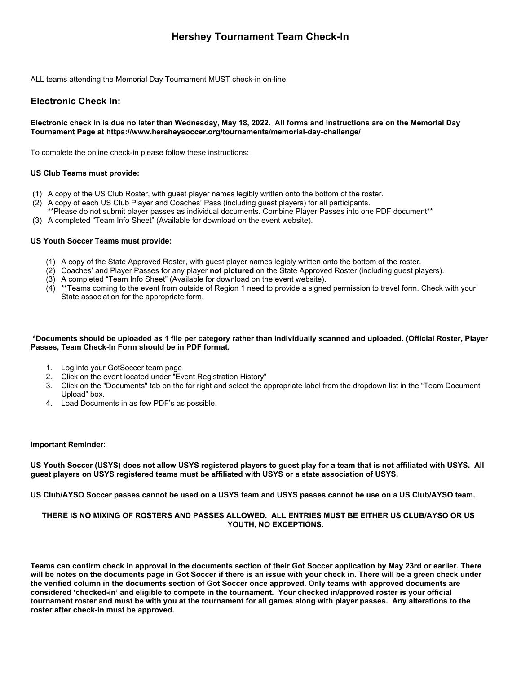# **Hershey Tournament Team Check-In**

ALL teams attending the Memorial Day Tournament MUST check-in on-line.

## **Electronic Check In:**

### **Electronic check in is due no later than Wednesday, May 18, 2022. All forms and instructions are on the Memorial Day Tournament Page at https://www.hersheysoccer.org/tournaments/memorial-day-challenge/**

To complete the online check-in please follow these instructions:

### **US Club Teams must provide:**

- (1) A copy of the US Club Roster, with guest player names legibly written onto the bottom of the roster.
- (2) A copy of each US Club Player and Coaches' Pass (including guest players) for all participants.
- \*\*Please do not submit player passes as individual documents. Combine Player Passes into one PDF document\*\*
- (3) A completed "Team Info Sheet" (Available for download on the event website).

### **US Youth Soccer Teams must provide:**

- (1) A copy of the State Approved Roster, with guest player names legibly written onto the bottom of the roster.
- (2) Coaches' and Player Passes for any player **not pictured** on the State Approved Roster (including guest players).
- (3) A completed "Team Info Sheet" (Available for download on the event website).
- (4) \*\*Teams coming to the event from outside of Region 1 need to provide a signed permission to travel form. Check with your State association for the appropriate form.

#### **\*Documents should be uploaded as 1 file per category rather than individually scanned and uploaded. (Official Roster, Player Passes, Team Check-In Form should be in PDF format.**

- 1. Log into your GotSoccer team page
- 2. Click on the event located under "Event Registration History"
- 3. Click on the "Documents" tab on the far right and select the appropriate label from the dropdown list in the "Team Document Upload" box.
- 4. Load Documents in as few PDF's as possible.

#### **Important Reminder:**

**US Youth Soccer (USYS) does not allow USYS registered players to guest play for a team that is not affiliated with USYS. All guest players on USYS registered teams must be affiliated with USYS or a state association of USYS.** 

**US Club/AYSO Soccer passes cannot be used on a USYS team and USYS passes cannot be use on a US Club/AYSO team.**

### **THERE IS NO MIXING OF ROSTERS AND PASSES ALLOWED. ALL ENTRIES MUST BE EITHER US CLUB/AYSO OR US YOUTH, NO EXCEPTIONS.**

**Teams can confirm check in approval in the documents section of their Got Soccer application by May 23rd or earlier. There will be notes on the documents page in Got Soccer if there is an issue with your check in. There will be a green check under the verified column in the documents section of Got Soccer once approved. Only teams with approved documents are considered 'checked-in' and eligible to compete in the tournament. Your checked in/approved roster is your official tournament roster and must be with you at the tournament for all games along with player passes. Any alterations to the roster after check-in must be approved.**